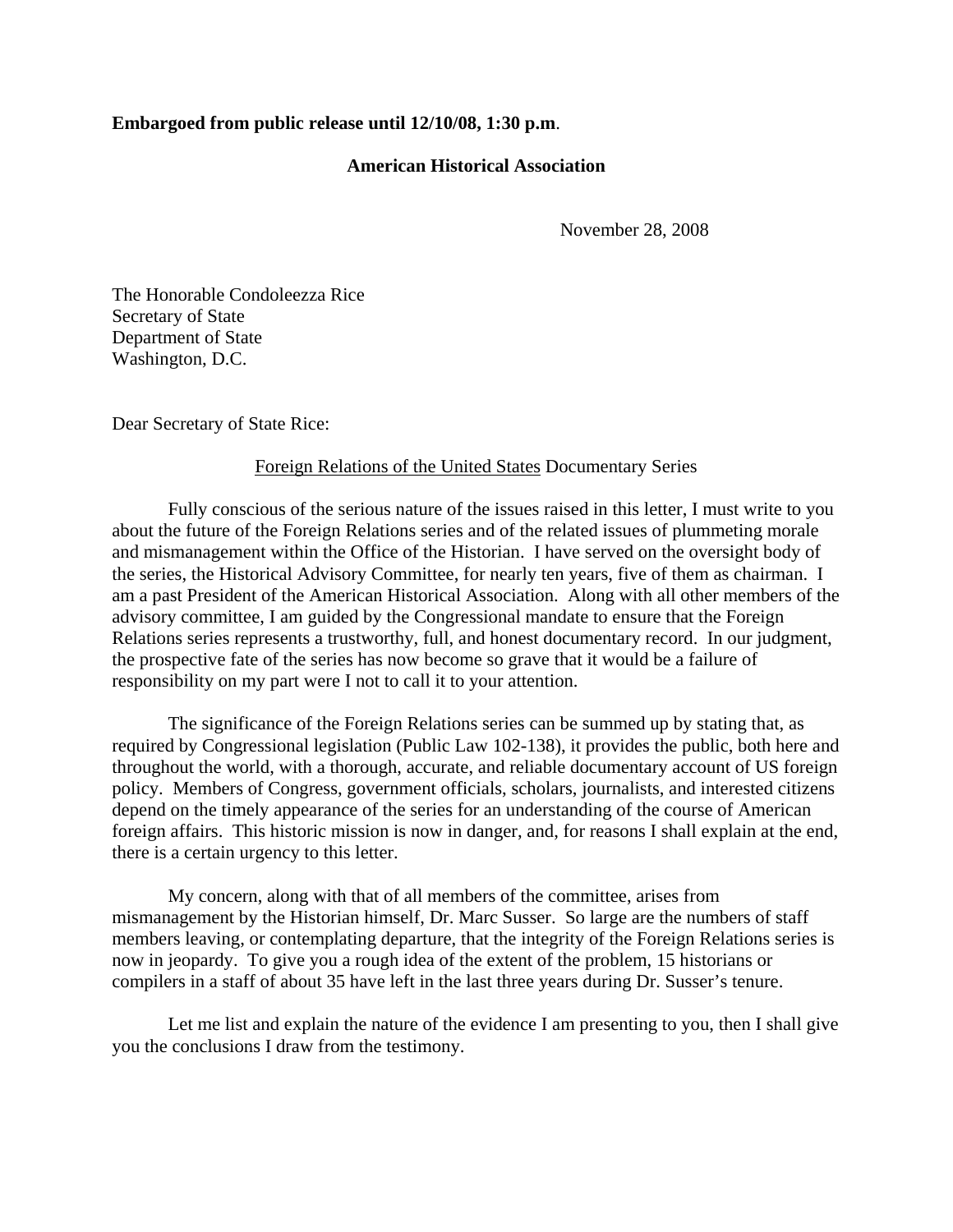## **Embargoed from public release until 12/10/08, 1:30 p.m**.

## **American Historical Association**

November 28, 2008

The Honorable Condoleezza Rice Secretary of State Department of State Washington, D.C.

Dear Secretary of State Rice:

## Foreign Relations of the United States Documentary Series

Fully conscious of the serious nature of the issues raised in this letter, I must write to you about the future of the Foreign Relations series and of the related issues of plummeting morale and mismanagement within the Office of the Historian. I have served on the oversight body of the series, the Historical Advisory Committee, for nearly ten years, five of them as chairman. I am a past President of the American Historical Association. Along with all other members of the advisory committee, I am guided by the Congressional mandate to ensure that the Foreign Relations series represents a trustworthy, full, and honest documentary record. In our judgment, the prospective fate of the series has now become so grave that it would be a failure of responsibility on my part were I not to call it to your attention.

The significance of the Foreign Relations series can be summed up by stating that, as required by Congressional legislation (Public Law 102-138), it provides the public, both here and throughout the world, with a thorough, accurate, and reliable documentary account of US foreign policy. Members of Congress, government officials, scholars, journalists, and interested citizens depend on the timely appearance of the series for an understanding of the course of American foreign affairs. This historic mission is now in danger, and, for reasons I shall explain at the end, there is a certain urgency to this letter.

My concern, along with that of all members of the committee, arises from mismanagement by the Historian himself, Dr. Marc Susser. So large are the numbers of staff members leaving, or contemplating departure, that the integrity of the Foreign Relations series is now in jeopardy. To give you a rough idea of the extent of the problem, 15 historians or compilers in a staff of about 35 have left in the last three years during Dr. Susser's tenure.

Let me list and explain the nature of the evidence I am presenting to you, then I shall give you the conclusions I draw from the testimony.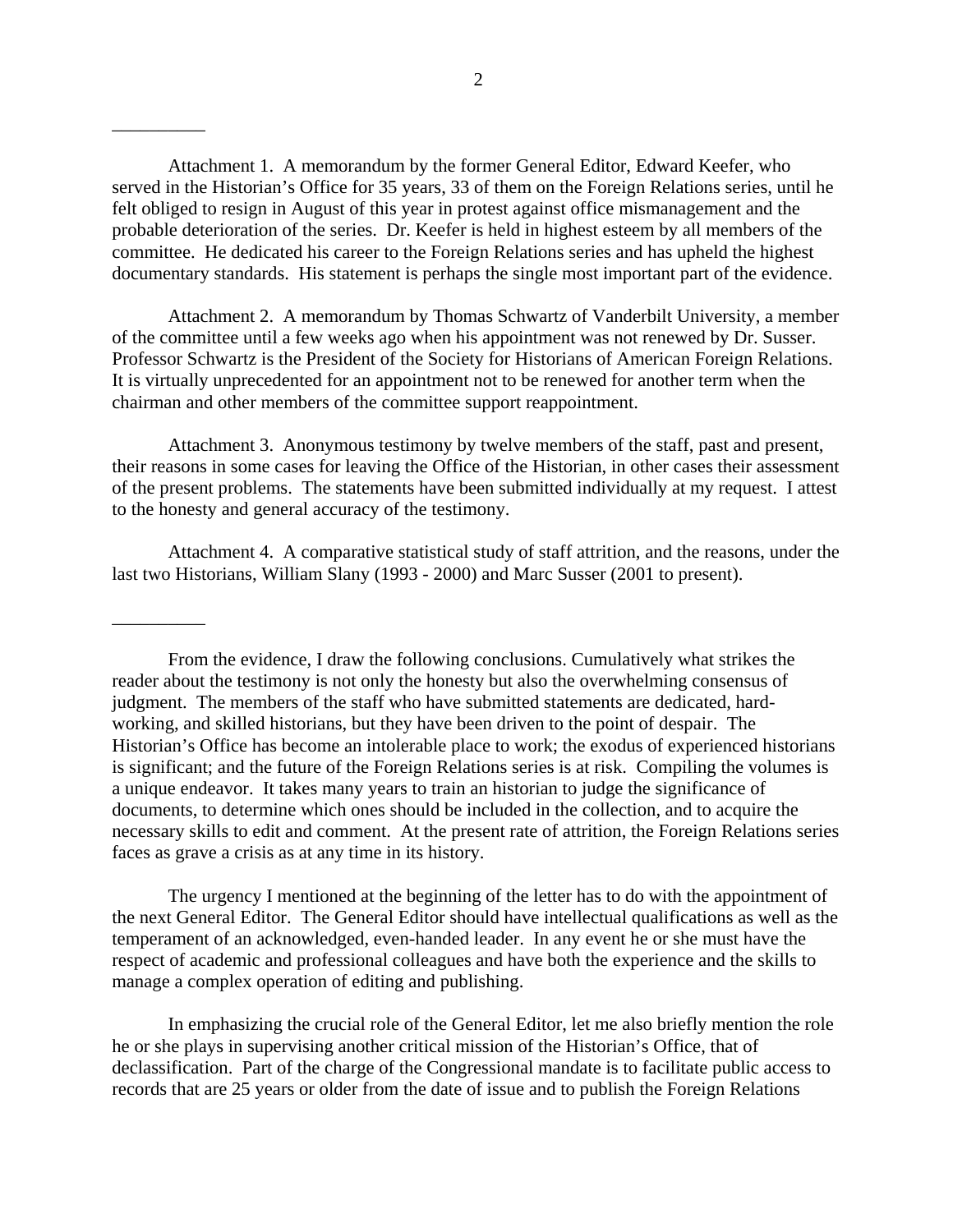Attachment 1. A memorandum by the former General Editor, Edward Keefer, who served in the Historian's Office for 35 years, 33 of them on the Foreign Relations series, until he felt obliged to resign in August of this year in protest against office mismanagement and the probable deterioration of the series. Dr. Keefer is held in highest esteem by all members of the committee. He dedicated his career to the Foreign Relations series and has upheld the highest documentary standards. His statement is perhaps the single most important part of the evidence.

Attachment 2. A memorandum by Thomas Schwartz of Vanderbilt University, a member of the committee until a few weeks ago when his appointment was not renewed by Dr. Susser. Professor Schwartz is the President of the Society for Historians of American Foreign Relations. It is virtually unprecedented for an appointment not to be renewed for another term when the chairman and other members of the committee support reappointment.

Attachment 3. Anonymous testimony by twelve members of the staff, past and present, their reasons in some cases for leaving the Office of the Historian, in other cases their assessment of the present problems. The statements have been submitted individually at my request. I attest to the honesty and general accuracy of the testimony.

Attachment 4. A comparative statistical study of staff attrition, and the reasons, under the last two Historians, William Slany (1993 - 2000) and Marc Susser (2001 to present).

The urgency I mentioned at the beginning of the letter has to do with the appointment of the next General Editor. The General Editor should have intellectual qualifications as well as the temperament of an acknowledged, even-handed leader. In any event he or she must have the respect of academic and professional colleagues and have both the experience and the skills to manage a complex operation of editing and publishing.

In emphasizing the crucial role of the General Editor, let me also briefly mention the role he or she plays in supervising another critical mission of the Historian's Office, that of declassification. Part of the charge of the Congressional mandate is to facilitate public access to records that are 25 years or older from the date of issue and to publish the Foreign Relations

\_\_\_\_\_\_\_\_\_\_

\_\_\_\_\_\_\_\_\_\_

From the evidence, I draw the following conclusions. Cumulatively what strikes the reader about the testimony is not only the honesty but also the overwhelming consensus of judgment. The members of the staff who have submitted statements are dedicated, hardworking, and skilled historians, but they have been driven to the point of despair. The Historian's Office has become an intolerable place to work; the exodus of experienced historians is significant; and the future of the Foreign Relations series is at risk. Compiling the volumes is a unique endeavor. It takes many years to train an historian to judge the significance of documents, to determine which ones should be included in the collection, and to acquire the necessary skills to edit and comment. At the present rate of attrition, the Foreign Relations series faces as grave a crisis as at any time in its history.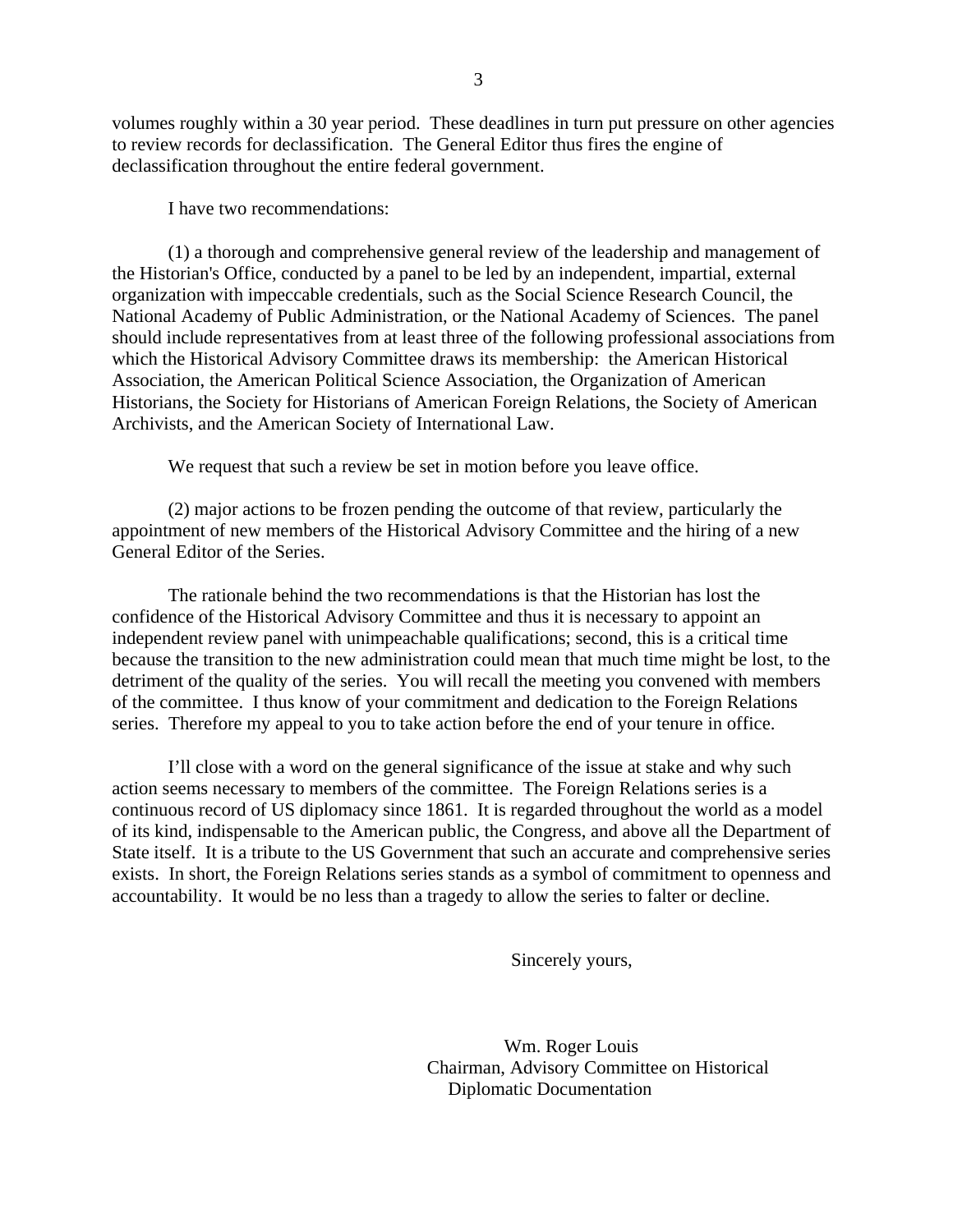volumes roughly within a 30 year period. These deadlines in turn put pressure on other agencies to review records for declassification. The General Editor thus fires the engine of declassification throughout the entire federal government.

I have two recommendations:

(1) a thorough and comprehensive general review of the leadership and management of the Historian's Office, conducted by a panel to be led by an independent, impartial, external organization with impeccable credentials, such as the Social Science Research Council, the National Academy of Public Administration, or the National Academy of Sciences. The panel should include representatives from at least three of the following professional associations from which the Historical Advisory Committee draws its membership: the American Historical Association, the American Political Science Association, the Organization of American Historians, the Society for Historians of American Foreign Relations, the Society of American Archivists, and the American Society of International Law.

We request that such a review be set in motion before you leave office.

(2) major actions to be frozen pending the outcome of that review, particularly the appointment of new members of the Historical Advisory Committee and the hiring of a new General Editor of the Series.

The rationale behind the two recommendations is that the Historian has lost the confidence of the Historical Advisory Committee and thus it is necessary to appoint an independent review panel with unimpeachable qualifications; second, this is a critical time because the transition to the new administration could mean that much time might be lost, to the detriment of the quality of the series. You will recall the meeting you convened with members of the committee. I thus know of your commitment and dedication to the Foreign Relations series. Therefore my appeal to you to take action before the end of your tenure in office.

I'll close with a word on the general significance of the issue at stake and why such action seems necessary to members of the committee. The Foreign Relations series is a continuous record of US diplomacy since 1861. It is regarded throughout the world as a model of its kind, indispensable to the American public, the Congress, and above all the Department of State itself. It is a tribute to the US Government that such an accurate and comprehensive series exists. In short, the Foreign Relations series stands as a symbol of commitment to openness and accountability. It would be no less than a tragedy to allow the series to falter or decline.

Sincerely yours,

Wm. Roger Louis Chairman, Advisory Committee on Historical Diplomatic Documentation